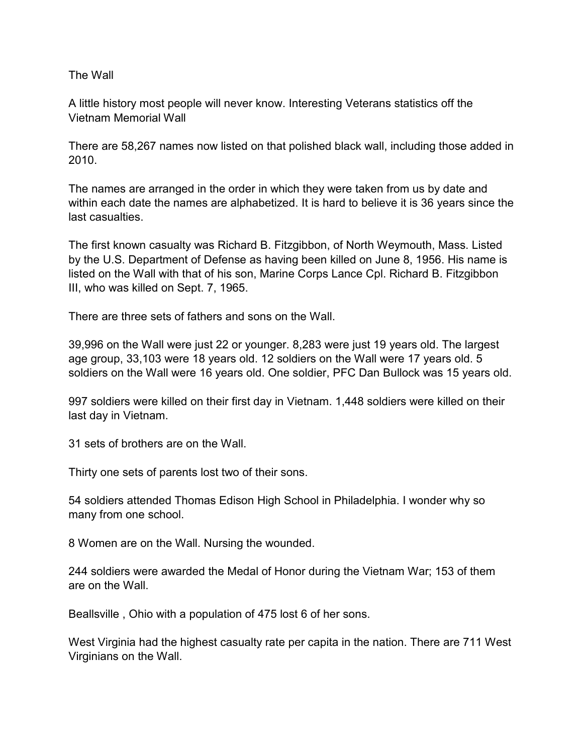## The Wall

A little history most people will never know. Interesting Veterans statistics off the Vietnam Memorial Wall

There are 58,267 names now listed on that polished black wall, including those added in 2010.

The names are arranged in the order in which they were taken from us by date and within each date the names are alphabetized. It is hard to believe it is 36 years since the last casualties.

The first known casualty was Richard B. Fitzgibbon, of North Weymouth, Mass. Listed by the U.S. Department of Defense as having been killed on June 8, 1956. His name is listed on the Wall with that of his son, Marine Corps Lance Cpl. Richard B. Fitzgibbon III, who was killed on Sept. 7, 1965.

There are three sets of fathers and sons on the Wall.

39,996 on the Wall were just 22 or younger. 8,283 were just 19 years old. The largest age group, 33,103 were 18 years old. 12 soldiers on the Wall were 17 years old. 5 soldiers on the Wall were 16 years old. One soldier, PFC Dan Bullock was 15 years old.

997 soldiers were killed on their first day in Vietnam. 1,448 soldiers were killed on their last day in Vietnam.

31 sets of brothers are on the Wall.

Thirty one sets of parents lost two of their sons.

54 soldiers attended Thomas Edison High School in Philadelphia. I wonder why so many from one school.

8 Women are on the Wall. Nursing the wounded.

244 soldiers were awarded the Medal of Honor during the Vietnam War; 153 of them are on the Wall.

Beallsville , Ohio with a population of 475 lost 6 of her sons.

West Virginia had the highest casualty rate per capita in the nation. There are 711 West Virginians on the Wall.